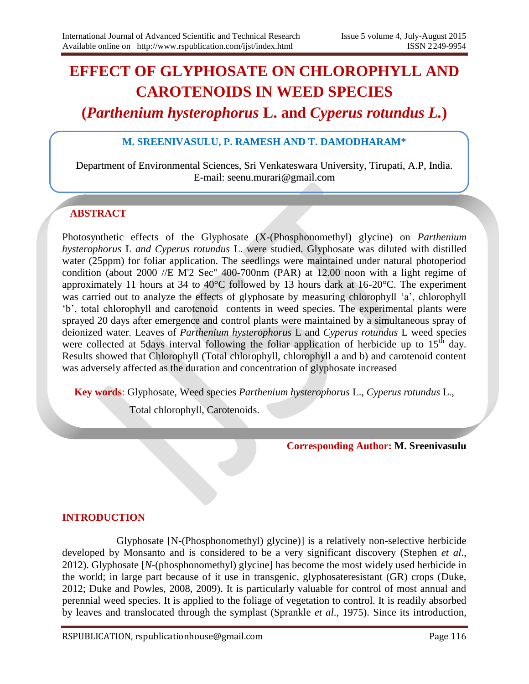# **EFFECT OF GLYPHOSATE ON CHLOROPHYLL AND CAROTENOIDS IN WEED SPECIES**

# **(***Parthenium hysterophorus* **L. and** *Cyperus rotundus L.***)**

#### **M. SREENIVASULU, P. RAMESH AND T. DAMODHARAM\***

Department of Environmental Sciences, Sri Venkateswara University, Tirupati, A.P, India. E-mail: seenu.murari@gmail.com

## **ABSTRACT**

Photosynthetic effects of the Glyphosate (X-(Phosphonomethyl) glycine) on *Parthenium hysterophorus* L *and Cyperus rotundus* L. were studied. Glyphosate was diluted with distilled water (25ppm) for foliar application. The seedlings were maintained under natural photoperiod condition (about 2000 //E M'2 Sec'' 400-700nm (PAR) at 12.00 noon with a light regime of approximately 11 hours at 34 to 40°C followed by 13 hours dark at 16-20°C. The experiment was carried out to analyze the effects of glyphosate by measuring chlorophyll 'a', chlorophyll 'b', total chlorophyll and carotenoid contents in weed species. The experimental plants were sprayed 20 days after emergence and control plants were maintained by a simultaneous spray of deionized water. Leaves of *Parthenium hysterophorus* L and *Cyperus rotundus* L weed species were collected at 5days interval following the foliar application of herbicide up to  $15<sup>th</sup>$  day. Results showed that Chlorophyll (Total chlorophyll, chlorophyll a and b) and carotenoid content was adversely affected as the duration and concentration of glyphosate increased

**Key words**: Glyphosate, Weed species *Parthenium hysterophorus* L., *Cyperus rotundus* L.,

Total chlorophyll, Carotenoids.

**Corresponding Author: M. Sreenivasulu**

#### **INTRODUCTION**

 Glyphosate [N-(Phosphonomethyl) glycine)] is a relatively non-selective herbicide developed by Monsanto and is considered to be a very significant discovery (Stephen *et al*., 2012). Glyphosate [*N*-(phosphonomethyl) glycine] has become the most widely used herbicide in the world; in large part because of it use in transgenic, glyphosateresistant (GR) crops (Duke, 2012; Duke and Powles, 2008, 2009). It is particularly valuable for control of most annual and perennial weed species. It is applied to the foliage of vegetation to control. It is readily absorbed by leaves and translocated through the symplast (Sprankle *et al*., 1975). Since its introduction,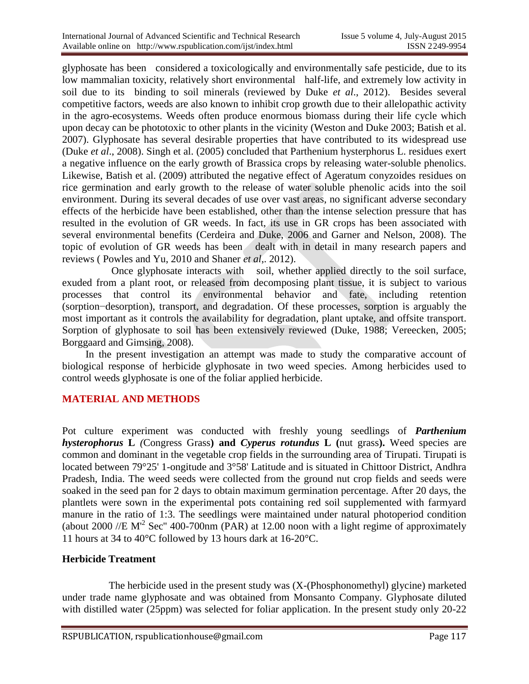glyphosate has been considered a toxicologically and environmentally safe pesticide, due to its low mammalian toxicity, relatively short environmental half-life, and extremely low activity in soil due to its binding to soil minerals (reviewed by Duke *et al*., 2012). Besides several competitive factors, weeds are also known to inhibit crop growth due to their allelopathic activity in the agro-ecosystems. Weeds often produce enormous biomass during their life cycle which upon decay can be phototoxic to other plants in the vicinity (Weston and Duke 2003; Batish et al. 2007). Glyphosate has several desirable properties that have contributed to its widespread use (Duke *et al*., 2008). Singh et al. (2005) concluded that Parthenium hysterphorus L. residues exert a negative influence on the early growth of Brassica crops by releasing water-soluble phenolics. Likewise, Batish et al. (2009) attributed the negative effect of Ageratum conyzoides residues on rice germination and early growth to the release of water soluble phenolic acids into the soil environment. During its several decades of use over vast areas, no significant adverse secondary effects of the herbicide have been established, other than the intense selection pressure that has resulted in the evolution of GR weeds. In fact, its use in GR crops has been associated with several environmental benefits (Cerdeira and Duke, 2006 and Garner and Nelson, 2008). The topic of evolution of GR weeds has been dealt with in detail in many research papers and reviews ( Powles and Yu, 2010 and Shaner *et al*,. 2012).

 Once glyphosate interacts with soil, whether applied directly to the soil surface, exuded from a plant root, or released from decomposing plant tissue, it is subject to various processes that control its environmental behavior and fate, including retention (sorption−desorption), transport, and degradation. Of these processes, sorption is arguably the most important as it controls the availability for degradation, plant uptake, and offsite transport. Sorption of glyphosate to soil has been extensively reviewed (Duke, 1988; Vereecken, 2005; Borggaard and Gimsing, 2008).

In the present investigation an attempt was made to study the comparative account of biological response of herbicide glyphosate in two weed species. Among herbicides used to control weeds glyphosate is one of the foliar applied herbicide.

#### **MATERIAL AND METHODS**

Pot culture experiment was conducted with freshly young seedlings of *Parthenium hysterophorus* **L** *(*Congress Grass**) and** *Cyperus rotundus* **L (**nut grass**).** Weed species are common and dominant in the vegetable crop fields in the surrounding area of Tirupati. Tirupati is located between 79°25' 1-ongitude and 3°58' Latitude and is situated in Chittoor District, Andhra Pradesh, India. The weed seeds were collected from the ground nut crop fields and seeds were soaked in the seed pan for 2 days to obtain maximum germination percentage. After 20 days, the plantlets were sown in the experimental pots containing red soil supplemented with farmyard manure in the ratio of 1:3. The seedlings were maintained under natural photoperiod condition (about 2000 //E  $M^2$  Sec" 400-700nm (PAR) at 12.00 noon with a light regime of approximately 11 hours at 34 to 40°C followed by 13 hours dark at 16-20°C.

#### **Herbicide Treatment**

 The herbicide used in the present study was (X-(Phosphonomethyl) glycine) marketed under trade name glyphosate and was obtained from Monsanto Company. Glyphosate diluted with distilled water (25ppm) was selected for foliar application. In the present study only 20-22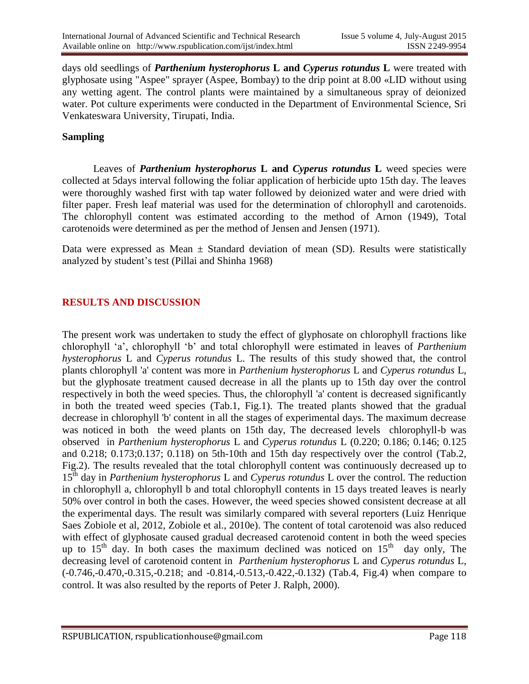days old seedlings of *Parthenium hysterophorus* **L and** *Cyperus rotundus* **L** were treated with glyphosate using "Aspee" sprayer (Aspee, Bombay) to the drip point at 8.00 «LID without using any wetting agent. The control plants were maintained by a simultaneous spray of deionized water. Pot culture experiments were conducted in the Department of Environmental Science, Sri Venkateswara University, Tirupati, India.

#### **Sampling**

Leaves of *Parthenium hysterophorus* **L and** *Cyperus rotundus* **L** weed species were collected at 5days interval following the foliar application of herbicide upto 15th day. The leaves were thoroughly washed first with tap water followed by deionized water and were dried with filter paper. Fresh leaf material was used for the determination of chlorophyll and carotenoids. The chlorophyll content was estimated according to the method of Arnon (1949), Total carotenoids were determined as per the method of Jensen and Jensen (1971).

Data were expressed as Mean  $\pm$  Standard deviation of mean (SD). Results were statistically analyzed by student's test (Pillai and Shinha 1968)

#### **RESULTS AND DISCUSSION**

The present work was undertaken to study the effect of glyphosate on chlorophyll fractions like chlorophyll 'a', chlorophyll 'b' and total chlorophyll were estimated in leaves of *Parthenium hysterophorus* L and *Cyperus rotundus* L. The results of this study showed that, the control plants chlorophyll 'a' content was more in *Parthenium hysterophorus* L and *Cyperus rotundus* L, but the glyphosate treatment caused decrease in all the plants up to 15th day over the control respectively in both the weed species. Thus, the chlorophyll 'a' content is decreased significantly in both the treated weed species (Tab.1, Fig.1). The treated plants showed that the gradual decrease in chlorophyll 'b' content in all the stages of experimental days. The maximum decrease was noticed in both the weed plants on 15th day, The decreased levels chlorophyll-b was observed in *Parthenium hysterophorus* L and *Cyperus rotundus* L (0.220; 0.186; 0.146; 0.125 and 0.218; 0.173;0.137; 0.118) on 5th-10th and 15th day respectively over the control (Tab.2, Fig.2). The results revealed that the total chlorophyll content was continuously decreased up to 15th day in *Parthenium hysterophorus* L and *Cyperus rotundus* L over the control. The reduction in chlorophyll a, chlorophyll b and total chlorophyll contents in 15 days treated leaves is nearly 50% over control in both the cases. However, the weed species showed consistent decrease at all the experimental days. The result was similarly compared with several reporters (Luiz Henrique Saes Zobiole et al, 2012, Zobiole et al., 2010e). The content of total carotenoid was also reduced with effect of glyphosate caused gradual decreased carotenoid content in both the weed species up to  $15<sup>th</sup>$  day. In both cases the maximum declined was noticed on  $15<sup>th</sup>$  day only, The decreasing level of carotenoid content in *Parthenium hysterophorus* L and *Cyperus rotundus* L*,* (-0.746,-0.470,-0.315,-0.218; and -0.814,-0.513,-0.422,-0.132) (Tab.4, Fig.4) when compare to control. It was also resulted by the reports of Peter J. Ralph, 2000).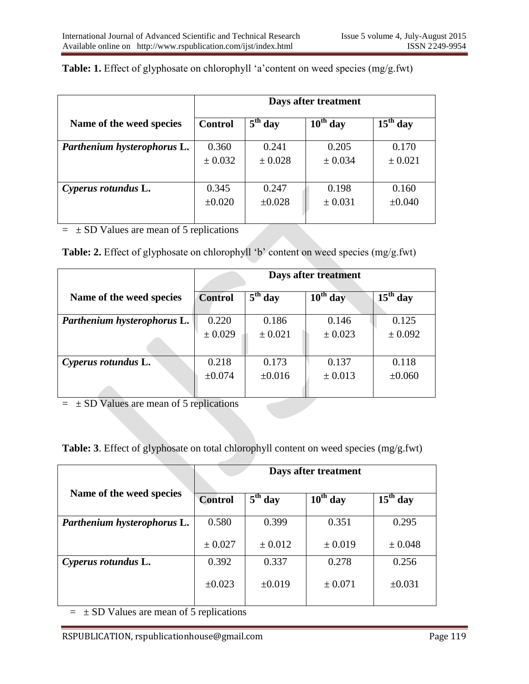|                             | Days after treatment |             |               |             |
|-----------------------------|----------------------|-------------|---------------|-------------|
| Name of the weed species    | <b>Control</b>       | $5th$ day   | $10^{th}$ day | $15th$ day  |
| Parthenium hysterophorus L. | 0.360                | 0.241       | 0.205         | 0.170       |
|                             | $\pm$ 0.032          | $\pm 0.028$ | ± 0.034       | $\pm 0.021$ |
|                             |                      |             |               |             |
| Cyperus rotundus L.         | 0.345                | 0.247       | 0.198         | 0.160       |
|                             | $\pm 0.020$          | ±0.028      | ± 0.031       | ±0.040      |
|                             |                      |             |               |             |

**Table: 1.** Effect of glyphosate on chlorophyll 'a'content on weed species (mg/g.fwt)

 $=$   $\pm$  SD Values are mean of 5 replications

| <b>Table: 2.</b> Effect of glyphosate on chlorophyll 'b' content on weed species (mg/g.fwt) |  |  |  |
|---------------------------------------------------------------------------------------------|--|--|--|
|---------------------------------------------------------------------------------------------|--|--|--|

|                             | Days after treatment |             |            |                                 |
|-----------------------------|----------------------|-------------|------------|---------------------------------|
| Name of the weed species    | <b>Control</b>       | $5th$ day   | $10th$ day | $\overline{15}^{\text{th}}$ day |
| Parthenium hysterophorus L. | 0.220                | 0.186       | 0.146      | 0.125                           |
|                             | ± 0.029              | $\pm 0.021$ | ± 0.023    | ± 0.092                         |
| Cyperus rotundus L.         | 0.218                | 0.173       | 0.137      | 0.118                           |
|                             | $\pm 0.074$          | $\pm 0.016$ | ± 0.013    | ±0.060                          |

 $=$   $\pm$  SD Values are mean of 5 replications

**Table: 3**. Effect of glyphosate on total chlorophyll content on weed species (mg/g.fwt)

|                             | Days after treatment |                                |               |                                 |
|-----------------------------|----------------------|--------------------------------|---------------|---------------------------------|
| Name of the weed species    | <b>Control</b>       | $\overline{5}^{\text{th}}$ day | $10^{th}$ day | $\overline{15}^{\text{th}}$ day |
| Parthenium hysterophorus L. | 0.580                | 0.399                          | 0.351         | 0.295                           |
|                             | ± 0.027              | ± 0.012                        | ± 0.019       | ± 0.048                         |
| Cyperus rotundus L.         | 0.392                | 0.337                          | 0.278         | 0.256                           |
|                             | $\pm 0.023$          | $\pm 0.019$                    | ± 0.071       | ±0.031                          |

 $= \pm SD$  Values are mean of 5 replications

RSPUBLICATION, rspublicationhouse@gmail.com Page 119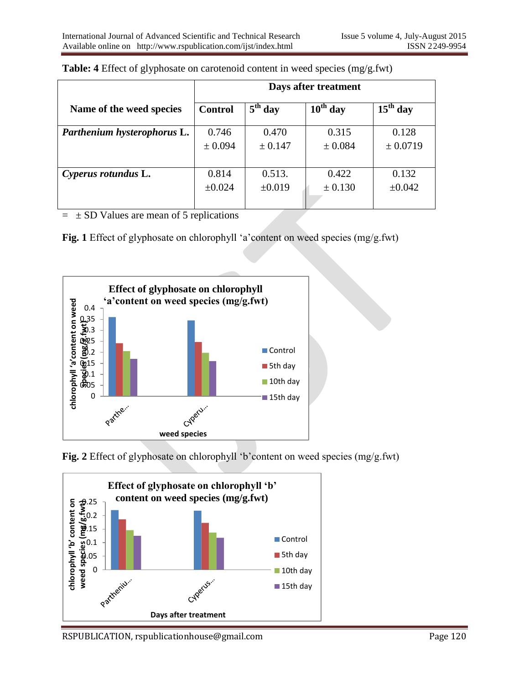|                             | Days after treatment |                     |               |             |
|-----------------------------|----------------------|---------------------|---------------|-------------|
| Name of the weed species    | <b>Control</b>       | $5^{\text{th}}$ day | $10^{th}$ day | $15th$ day  |
| Parthenium hysterophorus L. | 0.746                | 0.470               | 0.315         | 0.128       |
|                             | ± 0.094              | ± 0.147             | ± 0.084       | ± 0.0719    |
|                             |                      |                     |               |             |
| Cyperus rotundus L.         | 0.814                | 0.513.              | 0.422         | 0.132       |
|                             | ±0.024               | $\pm 0.019$         | ± 0.130       | $\pm 0.042$ |
|                             |                      |                     |               |             |

| Table: 4 Effect of glyphosate on carotenoid content in weed species (mg/g.fwt) |  |  |
|--------------------------------------------------------------------------------|--|--|
|                                                                                |  |  |

 $=$   $\pm$  SD Values are mean of 5 replications

**Fig. 1** Effect of glyphosate on chlorophyll 'a'content on weed species (mg/g.fwt)



**Fig. 2** Effect of glyphosate on chlorophyll 'b'content on weed species (mg/g.fwt)

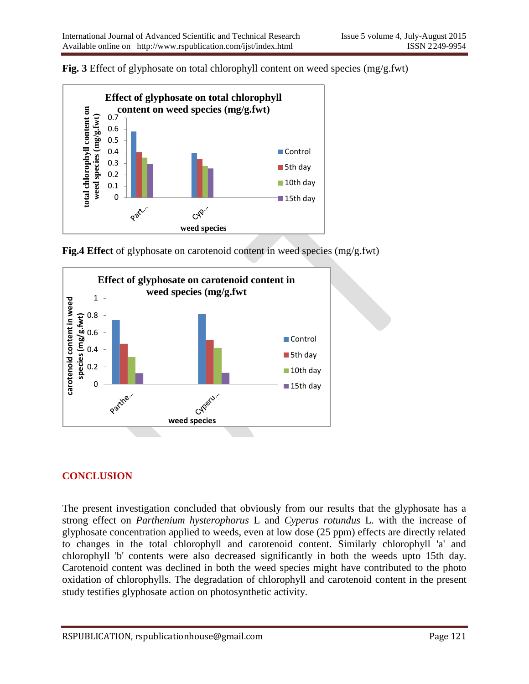



**Fig.4 Effect** of glyphosate on carotenoid content in weed species (mg/g.fwt)



## **CONCLUSION**

The present investigation concluded that obviously from our results that the glyphosate has a strong effect on *Parthenium hysterophorus* L and *Cyperus rotundus* L. with the increase of glyphosate concentration applied to weeds, even at low dose (25 ppm) effects are directly related to changes in the total chlorophyll and carotenoid content. Similarly chlorophyll 'a' and chlorophyll 'b' contents were also decreased significantly in both the weeds upto 15th day. Carotenoid content was declined in both the weed species might have contributed to the photo oxidation of chlorophylls. The degradation of chlorophyll and carotenoid content in the present study testifies glyphosate action on photosynthetic activity.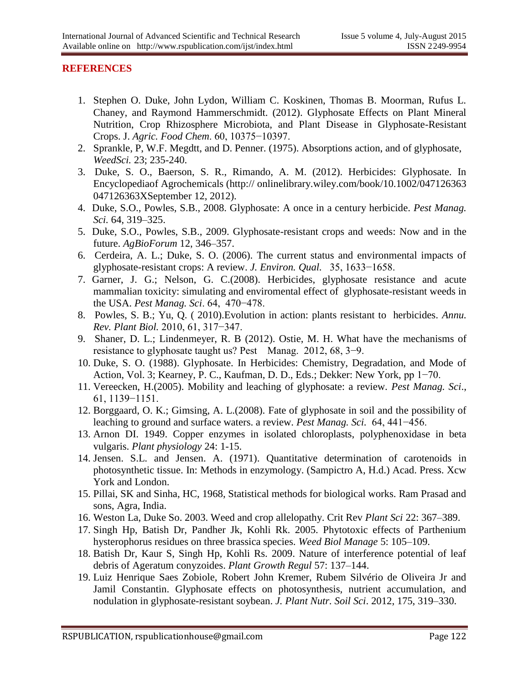#### **REFERENCES**

- 1. Stephen O. Duke, John Lydon, William C. Koskinen, Thomas B. Moorman, Rufus L. Chaney, and Raymond Hammerschmidt. (2012). Glyphosate Effects on Plant Mineral Nutrition, Crop Rhizosphere Microbiota, and Plant Disease in Glyphosate-Resistant Crops. J. *Agric. Food Chem*. 60, 10375−10397.
- 2. Sprankle, P, W.F. Megdtt, and D. Penner. (1975). Absorptions action, and of glyphosate, *WeedSci.* 23; 235-240.
- 3. Duke, S. O., Baerson, S. R., Rimando, A. M. (2012). Herbicides: Glyphosate. In Encyclopediaof Agrochemicals (http:// onlinelibrary.wiley.com/book/10.1002/047126363 047126363XSeptember 12, 2012).
- 4. Duke, S.O., Powles, S.B., 2008. Glyphosate: A once in a century herbicide. *Pest Manag. Sci.* 64, 319–325.
- 5. Duke, S.O., Powles, S.B., 2009. Glyphosate-resistant crops and weeds: Now and in the future. *AgBioForum* 12, 346–357.
- 6. Cerdeira, A. L.; Duke, S. O. (2006). The current status and environmental impacts of glyphosate-resistant crops: A review. *J. Environ. Qual.* 35, 1633−1658.
- 7. Garner, J. G.; Nelson, G. C.(2008). Herbicides, glyphosate resistance and acute mammalian toxicity: simulating and enviromental effect of glyphosate-resistant weeds in the USA. *Pest Manag. Sci*. 64, 470−478.
- 8. Powles, S. B.; Yu, Q. ( 2010).Evolution in action: plants resistant to herbicides. *Annu. Rev. Plant Biol.* 2010, 61, 317−347.
- 9. Shaner, D. L.; Lindenmeyer, R. B (2012). Ostie, M. H. What have the mechanisms of resistance to glyphosate taught us? Pest Manag. 2012, 68, 3−9.
- 10. Duke, S. O. (1988). Glyphosate. In Herbicides: Chemistry, Degradation, and Mode of Action, Vol. 3; Kearney, P. C., Kaufman, D. D., Eds.; Dekker: New York, pp 1−70.
- 11. Vereecken, H.(2005). Mobility and leaching of glyphosate: a review. *Pest Manag. Sci*., 61, 1139−1151.
- 12. Borggaard, O. K.; Gimsing, A. L.(2008). Fate of glyphosate in soil and the possibility of leaching to ground and surface waters. a review. *Pest Manag. Sci.* 64, 441−456.
- 13. Arnon DI. 1949. Copper enzymes in isolated chloroplasts, polyphenoxidase in beta vulgaris. *Plant physiology* 24: 1-15.
- 14. Jensen. S.L. and Jensen. A. (1971). Quantitative determination of carotenoids in photosynthetic tissue. In: Methods in enzymology. (Sampictro A, H.d.) Acad. Press. Xcw York and London.
- 15. Pillai, SK and Sinha, HC, 1968, Statistical methods for biological works. Ram Prasad and sons, Agra, India.
- 16. Weston La, Duke So. 2003. Weed and crop allelopathy. Crit Rev *Plant Sci* 22: 367–389.
- 17. Singh Hp, Batish Dr, Pandher Jk, Kohli Rk. 2005. Phytotoxic effects of Parthenium hysterophorus residues on three brassica species. *Weed Biol Manage* 5: 105–109.
- 18. Batish Dr, Kaur S, Singh Hp, Kohli Rs. 2009. Nature of interference potential of leaf debris of Ageratum conyzoides. *Plant Growth Regul* 57: 137–144.
- 19. Luiz Henrique Saes Zobiole, Robert John Kremer, Rubem Silvério de Oliveira Jr and Jamil Constantin. Glyphosate effects on photosynthesis, nutrient accumulation, and nodulation in glyphosate-resistant soybean. *J. Plant Nutr. Soil Sci*. 2012, 175, 319–330.